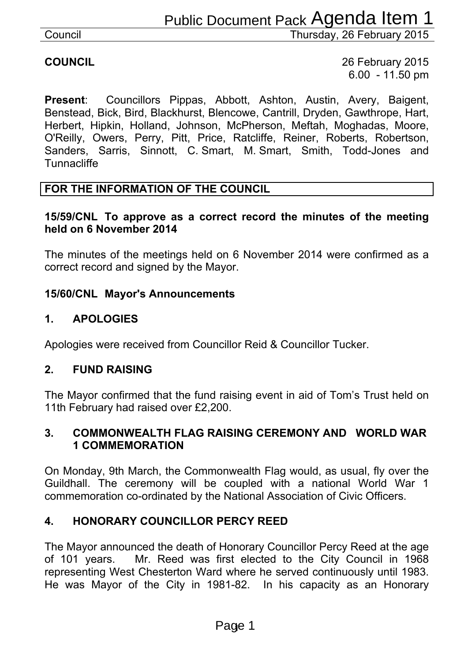**COUNCIL** 26 February 2015 6.00 - 11.50 pm

**Present**: Councillors Pippas, Abbott, Ashton, Austin, Avery, Baigent, Benstead, Bick, Bird, Blackhurst, Blencowe, Cantrill, Dryden, Gawthrope, Hart, Herbert, Hipkin, Holland, Johnson, McPherson, Meftah, Moghadas, Moore, O'Reilly, Owers, Perry, Pitt, Price, Ratcliffe, Reiner, Roberts, Robertson, Sanders, Sarris, Sinnott, C. Smart, M. Smart, Smith, Todd-Jones and **Tunnacliffe** Note Thursday, 26 February 2015<br>
Thursday, 26 February 2015<br>
26 February 2015<br>
6.00 - 11.50 pm<br>
Abbott, Ashton, Austin, Avery, Baigent,<br>
Abbott, Ashton, Austin, Avery, Baigent,<br>
In McPherson, Meffah, Moghadas, Moore,<br>
e, R

#### **FOR THE INFORMATION OF THE COUNCIL**

#### **15/59/CNL To approve as a correct record the minutes of the meeting held on 6 November 2014**

The minutes of the meetings held on 6 November 2014 were confirmed as a correct record and signed by the Mayor.

#### **15/60/CNL Mayor's Announcements**

#### **1. APOLOGIES**

Apologies were received from Councillor Reid & Councillor Tucker.

#### **2. FUND RAISING**

The Mayor confirmed that the fund raising event in aid of Tom's Trust held on 11th February had raised over £2,200.

#### **3. COMMONWEALTH FLAG RAISING CEREMONY AND WORLD WAR 1 COMMEMORATION**

On Monday, 9th March, the Commonwealth Flag would, as usual, fly over the Guildhall. The ceremony will be coupled with a national World War 1 commemoration co-ordinated by the National Association of Civic Officers.

#### **4. HONORARY COUNCILLOR PERCY REED**

The Mayor announced the death of Honorary Councillor Percy Reed at the age of 101 years. Mr. Reed was first elected to the City Council in 1968 representing West Chesterton Ward where he served continuously until 1983. He was Mayor of the City in 1981-82. In his capacity as an Honorary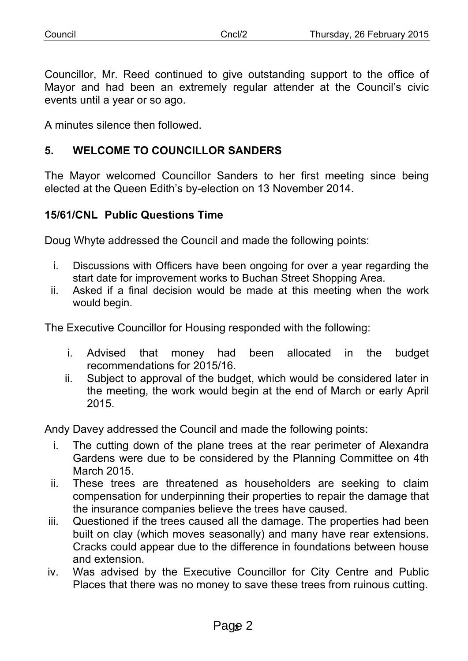| Council | `ncl/2 | Thursday, 26 February 2015 |
|---------|--------|----------------------------|
|         |        |                            |

Councillor, Mr. Reed continued to give outstanding support to the office of Mayor and had been an extremely regular attender at the Council's civic events until a year or so ago.

A minutes silence then followed.

# **5. WELCOME TO COUNCILLOR SANDERS**

The Mayor welcomed Councillor Sanders to her first meeting since being elected at the Queen Edith's by-election on 13 November 2014.

## **15/61/CNL Public Questions Time**

Doug Whyte addressed the Council and made the following points:

- i. Discussions with Officers have been ongoing for over a year regarding the start date for improvement works to Buchan Street Shopping Area.
- ii. Asked if a final decision would be made at this meeting when the work would begin.

The Executive Councillor for Housing responded with the following:

- i. Advised that money had been allocated in the budget recommendations for 2015/16.
- ii. Subject to approval of the budget, which would be considered later in the meeting, the work would begin at the end of March or early April 2015.

Andy Davey addressed the Council and made the following points:

- i. The cutting down of the plane trees at the rear perimeter of Alexandra Gardens were due to be considered by the Planning Committee on 4th March 2015.
- ii. These trees are threatened as householders are seeking to claim compensation for underpinning their properties to repair the damage that the insurance companies believe the trees have caused.
- iii. Questioned if the trees caused all the damage. The properties had been built on clay (which moves seasonally) and many have rear extensions. Cracks could appear due to the difference in foundations between house and extension.
- iv. Was advised by the Executive Councillor for City Centre and Public Places that there was no money to save these trees from ruinous cutting.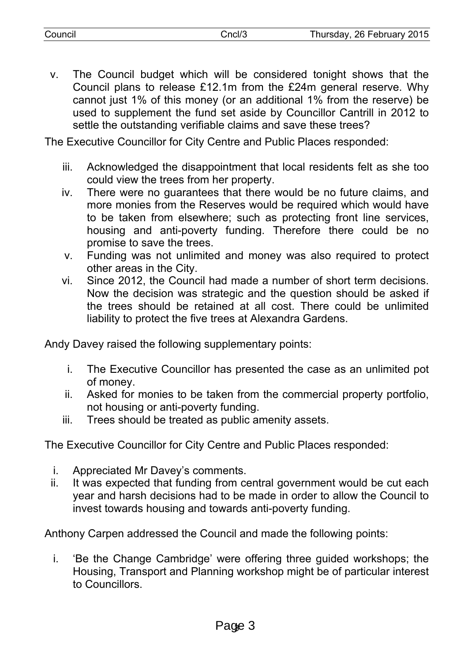| Council | cncl/3 | Thursday, 26 February 2015 |
|---------|--------|----------------------------|
|         |        |                            |

v. The Council budget which will be considered tonight shows that the Council plans to release £12.1m from the £24m general reserve. Why cannot just 1% of this money (or an additional 1% from the reserve) be used to supplement the fund set aside by Councillor Cantrill in 2012 to settle the outstanding verifiable claims and save these trees?

The Executive Councillor for City Centre and Public Places responded:

- iii. Acknowledged the disappointment that local residents felt as she too could view the trees from her property.
- iv. There were no guarantees that there would be no future claims, and more monies from the Reserves would be required which would have to be taken from elsewhere; such as protecting front line services, housing and anti-poverty funding. Therefore there could be no promise to save the trees.
- v. Funding was not unlimited and money was also required to protect other areas in the City.
- vi. Since 2012, the Council had made a number of short term decisions. Now the decision was strategic and the question should be asked if the trees should be retained at all cost. There could be unlimited liability to protect the five trees at Alexandra Gardens.

Andy Davey raised the following supplementary points:

- i. The Executive Councillor has presented the case as an unlimited pot of money.
- ii. Asked for monies to be taken from the commercial property portfolio, not housing or anti-poverty funding.
- iii. Trees should be treated as public amenity assets.

The Executive Councillor for City Centre and Public Places responded:

- i. Appreciated Mr Davey's comments.
- ii. It was expected that funding from central government would be cut each year and harsh decisions had to be made in order to allow the Council to invest towards housing and towards anti-poverty funding.

Anthony Carpen addressed the Council and made the following points:

i. 'Be the Change Cambridge' were offering three guided workshops; the Housing, Transport and Planning workshop might be of particular interest to Councillors.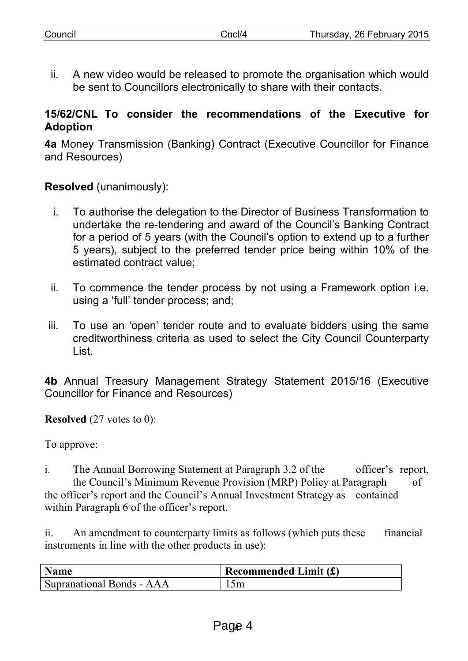ii. A new video would be released to promote the organisation which would be sent to Councillors electronically to share with their contacts.

## **15/62/CNL To consider the recommendations of the Executive for Adoption**

**4a** Money Transmission (Banking) Contract (Executive Councillor for Finance and Resources)

**Resolved** (unanimously):

- i. To authorise the delegation to the Director of Business Transformation to undertake the re-tendering and award of the Council's Banking Contract for a period of 5 years (with the Council's option to extend up to a further 5 years), subject to the preferred tender price being within 10% of the estimated contract value;
- ii. To commence the tender process by not using a Framework option i.e. using a 'full' tender process; and;
- iii. To use an 'open' tender route and to evaluate bidders using the same creditworthiness criteria as used to select the City Council Counterparty List.

**4b** Annual Treasury Management Strategy Statement 2015/16 (Executive Councillor for Finance and Resources)

**Resolved** (27 votes to 0):

To approve:

i. The Annual Borrowing Statement at Paragraph 3.2 of the officer's report, the Council's Minimum Revenue Provision (MRP) Policy at Paragraph of the officer's report and the Council's Annual Investment Strategy as contained within Paragraph 6 of the officer's report.

ii. An amendment to counterparty limits as follows (which puts these financial instruments in line with the other products in use):

| <b>Name</b>               | Recommended Limit $(f)$ |
|---------------------------|-------------------------|
| Supranational Bonds - AAA | 15m                     |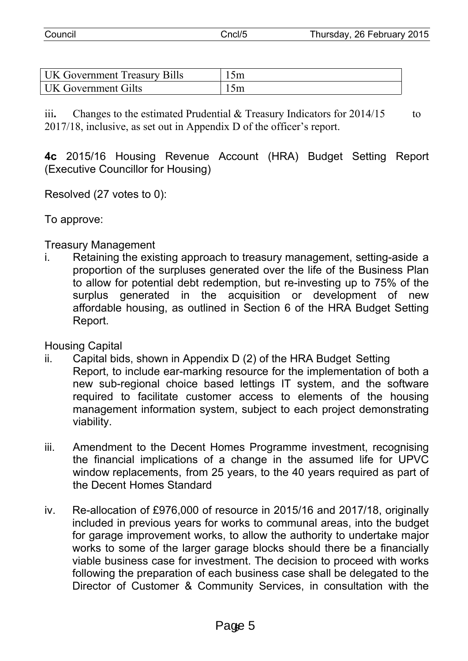| Council | Cncl/5 | Thursday, 26 February 2015 |
|---------|--------|----------------------------|

| <b>UK Government Treasury Bills</b> | . mc |
|-------------------------------------|------|
| <b>UK Government Gilts</b>          | I 5m |

iii. Changes to the estimated Prudential & Treasury Indicators for 2014/15 to 2017/18, inclusive, as set out in Appendix D of the officer's report.

**4c** 2015/16 Housing Revenue Account (HRA) Budget Setting Report (Executive Councillor for Housing)

Resolved (27 votes to 0):

To approve:

Treasury Management

i. Retaining the existing approach to treasury management, setting-aside a proportion of the surpluses generated over the life of the Business Plan to allow for potential debt redemption, but re-investing up to 75% of the surplus generated in the acquisition or development of new affordable housing, as outlined in Section 6 of the HRA Budget Setting Report.

Housing Capital

- ii. Capital bids, shown in Appendix D (2) of the HRA Budget Setting Report, to include ear-marking resource for the implementation of both a new sub-regional choice based lettings IT system, and the software required to facilitate customer access to elements of the housing management information system, subject to each project demonstrating viability.
- iii. Amendment to the Decent Homes Programme investment, recognising the financial implications of a change in the assumed life for UPVC window replacements, from 25 years, to the 40 years required as part of the Decent Homes Standard
- iv. Re-allocation of £976,000 of resource in 2015/16 and 2017/18, originally included in previous years for works to communal areas, into the budget for garage improvement works, to allow the authority to undertake major works to some of the larger garage blocks should there be a financially viable business case for investment. The decision to proceed with works following the preparation of each business case shall be delegated to the Director of Customer & Community Services, in consultation with the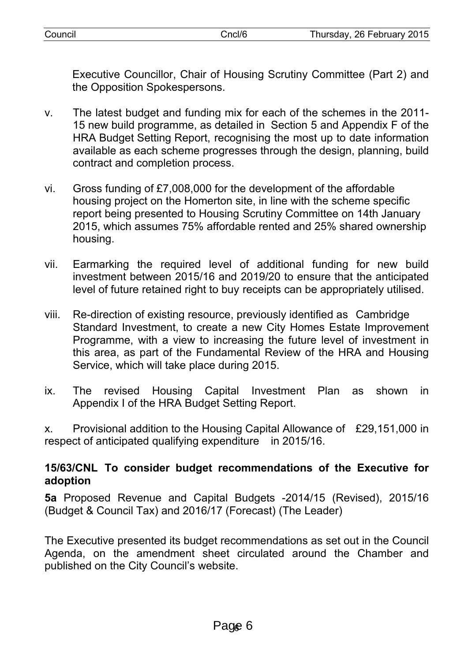Executive Councillor, Chair of Housing Scrutiny Committee (Part 2) and the Opposition Spokespersons.

- v. The latest budget and funding mix for each of the schemes in the 2011- 15 new build programme, as detailed in Section 5 and Appendix F of the HRA Budget Setting Report, recognising the most up to date information available as each scheme progresses through the design, planning, build contract and completion process.
- vi. Gross funding of £7,008,000 for the development of the affordable housing project on the Homerton site, in line with the scheme specific report being presented to Housing Scrutiny Committee on 14th January 2015, which assumes 75% affordable rented and 25% shared ownership housing.
- vii. Earmarking the required level of additional funding for new build investment between 2015/16 and 2019/20 to ensure that the anticipated level of future retained right to buy receipts can be appropriately utilised.
- viii. Re-direction of existing resource, previously identified as Cambridge Standard Investment, to create a new City Homes Estate Improvement Programme, with a view to increasing the future level of investment in this area, as part of the Fundamental Review of the HRA and Housing Service, which will take place during 2015.
- ix. The revised Housing Capital Investment Plan as shown in Appendix I of the HRA Budget Setting Report.

x. Provisional addition to the Housing Capital Allowance of £29,151,000 in respect of anticipated qualifying expenditure in 2015/16.

## **15/63/CNL To consider budget recommendations of the Executive for adoption**

**5a** Proposed Revenue and Capital Budgets -2014/15 (Revised), 2015/16 (Budget & Council Tax) and 2016/17 (Forecast) (The Leader)

The Executive presented its budget recommendations as set out in the Council Agenda, on the amendment sheet circulated around the Chamber and published on the City Council's website.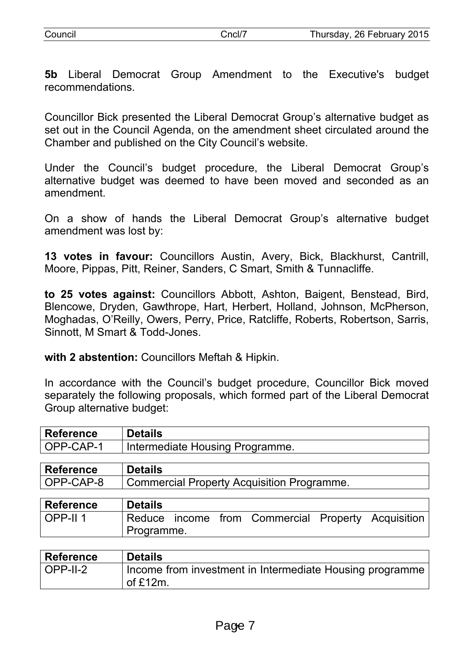| Council | Cncl/T | Thursday, 26 February 2015 |
|---------|--------|----------------------------|
|         |        |                            |

**5b** Liberal Democrat Group Amendment to the Executive's budget recommendations.

Councillor Bick presented the Liberal Democrat Group's alternative budget as set out in the Council Agenda, on the amendment sheet circulated around the Chamber and published on the City Council's website.

Under the Council's budget procedure, the Liberal Democrat Group's alternative budget was deemed to have been moved and seconded as an amendment.

On a show of hands the Liberal Democrat Group's alternative budget amendment was lost by:

**13 votes in favour:** Councillors Austin, Avery, Bick, Blackhurst, Cantrill, Moore, Pippas, Pitt, Reiner, Sanders, C Smart, Smith & Tunnacliffe.

**to 25 votes against:** Councillors Abbott, Ashton, Baigent, Benstead, Bird, Blencowe, Dryden, Gawthrope, Hart, Herbert, Holland, Johnson, McPherson, Moghadas, O'Reilly, Owers, Perry, Price, Ratcliffe, Roberts, Robertson, Sarris, Sinnott, M Smart & Todd-Jones.

**with 2 abstention:** Councillors Meftah & Hipkin.

In accordance with the Council's budget procedure, Councillor Bick moved separately the following proposals, which formed part of the Liberal Democrat Group alternative budget:

| <b>Reference</b>    | <b>Details</b>                                        |
|---------------------|-------------------------------------------------------|
| OPP-CAP-1           | Intermediate Housing Programme.                       |
| <b>Reference</b>    | <b>Details</b>                                        |
| OPP-CAP-8           | <b>Commercial Property Acquisition Programme.</b>     |
|                     |                                                       |
| <b>Reference</b>    | <b>Details</b>                                        |
| OPP-II <sub>1</sub> | Reduce income from Commercial Property<br>Acquisition |
|                     | Programme.                                            |
|                     |                                                       |

| Reference             | <b>Details</b>                                                                                  |
|-----------------------|-------------------------------------------------------------------------------------------------|
| $\overline{OPP-II-2}$ | Income from investment in Intermediate Housing programme  <br>$\overline{\phantom{0}}$ of £12m. |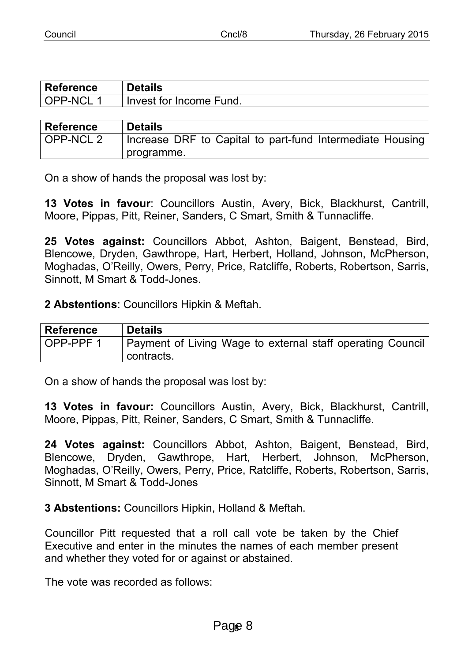| Council | `ncl/& | Thursday, 26 February 2015 |
|---------|--------|----------------------------|
|         |        |                            |

| <b>Reference</b> | <b>Details</b>          |
|------------------|-------------------------|
| OPP-NCL1         | Invest for Income Fund. |

| <b>Reference</b> | <b>Details</b>                                            |
|------------------|-----------------------------------------------------------|
| OPP-NCL 2        | Increase DRF to Capital to part-fund Intermediate Housing |
|                  | programme.                                                |

On a show of hands the proposal was lost by:

**13 Votes in favour**: Councillors Austin, Avery, Bick, Blackhurst, Cantrill, Moore, Pippas, Pitt, Reiner, Sanders, C Smart, Smith & Tunnacliffe.

**25 Votes against:** Councillors Abbot, Ashton, Baigent, Benstead, Bird, Blencowe, Dryden, Gawthrope, Hart, Herbert, Holland, Johnson, McPherson, Moghadas, O'Reilly, Owers, Perry, Price, Ratcliffe, Roberts, Robertson, Sarris, Sinnott, M Smart & Todd-Jones.

**2 Abstentions**: Councillors Hipkin & Meftah.

| <b>Reference</b> | <b>Details</b>                                                           |
|------------------|--------------------------------------------------------------------------|
| OPP-PPF 1        | Payment of Living Wage to external staff operating Council<br>contracts. |

On a show of hands the proposal was lost by:

**13 Votes in favour:** Councillors Austin, Avery, Bick, Blackhurst, Cantrill, Moore, Pippas, Pitt, Reiner, Sanders, C Smart, Smith & Tunnacliffe.

**24 Votes against:** Councillors Abbot, Ashton, Baigent, Benstead, Bird, Blencowe, Dryden, Gawthrope, Hart, Herbert, Johnson, McPherson, Moghadas, O'Reilly, Owers, Perry, Price, Ratcliffe, Roberts, Robertson, Sarris, Sinnott, M Smart & Todd-Jones

**3 Abstentions:** Councillors Hipkin, Holland & Meftah.

Councillor Pitt requested that a roll call vote be taken by the Chief Executive and enter in the minutes the names of each member present and whether they voted for or against or abstained.

The vote was recorded as follows: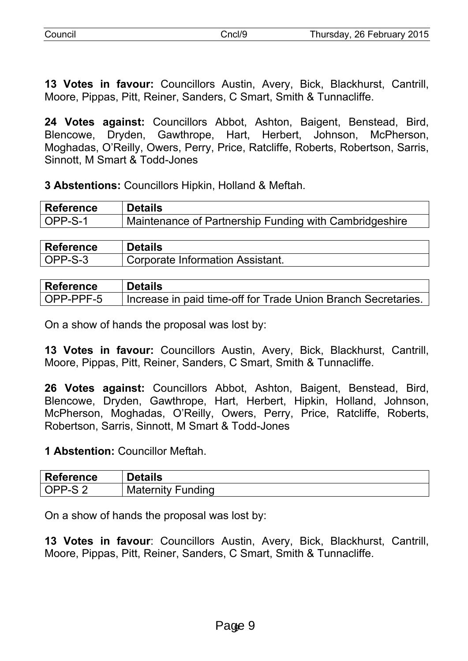| Council | Thursday, 26 February 2015 |
|---------|----------------------------|
|         |                            |

**13 Votes in favour:** Councillors Austin, Avery, Bick, Blackhurst, Cantrill, Moore, Pippas, Pitt, Reiner, Sanders, C Smart, Smith & Tunnacliffe.

**24 Votes against:** Councillors Abbot, Ashton, Baigent, Benstead, Bird, Blencowe, Dryden, Gawthrope, Hart, Herbert, Johnson, McPherson, Moghadas, O'Reilly, Owers, Perry, Price, Ratcliffe, Roberts, Robertson, Sarris, Sinnott, M Smart & Todd-Jones

**3 Abstentions:** Councillors Hipkin, Holland & Meftah.

| Reference            | <b>Details</b>                                         |
|----------------------|--------------------------------------------------------|
| $\overline{OPP-S-1}$ | Maintenance of Partnership Funding with Cambridgeshire |

| <b>Reference</b> | <b>Details</b>                   |
|------------------|----------------------------------|
| OPP-S-3          | Corporate Information Assistant. |

| <b>Reference</b> | <b>Details</b>                                                |
|------------------|---------------------------------------------------------------|
| OPP-PPF-5        | Increase in paid time-off for Trade Union Branch Secretaries. |

On a show of hands the proposal was lost by:

**13 Votes in favour:** Councillors Austin, Avery, Bick, Blackhurst, Cantrill, Moore, Pippas, Pitt, Reiner, Sanders, C Smart, Smith & Tunnacliffe.

**26 Votes against:** Councillors Abbot, Ashton, Baigent, Benstead, Bird, Blencowe, Dryden, Gawthrope, Hart, Herbert, Hipkin, Holland, Johnson, McPherson, Moghadas, O'Reilly, Owers, Perry, Price, Ratcliffe, Roberts, Robertson, Sarris, Sinnott, M Smart & Todd-Jones

#### **1 Abstention:** Councillor Meftah.

| <b>Reference</b> | <b>Details</b>              |
|------------------|-----------------------------|
| $'$ PP- $\sim$   | Funding<br><b>Maternity</b> |

On a show of hands the proposal was lost by:

**13 Votes in favour**: Councillors Austin, Avery, Bick, Blackhurst, Cantrill, Moore, Pippas, Pitt, Reiner, Sanders, C Smart, Smith & Tunnacliffe.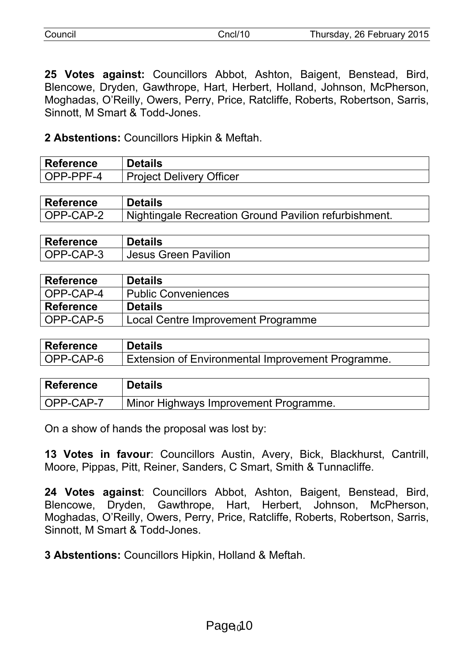**25 Votes against:** Councillors Abbot, Ashton, Baigent, Benstead, Bird, Blencowe, Dryden, Gawthrope, Hart, Herbert, Holland, Johnson, McPherson, Moghadas, O'Reilly, Owers, Perry, Price, Ratcliffe, Roberts, Robertson, Sarris, Sinnott, M Smart & Todd-Jones.

**2 Abstentions:** Councillors Hipkin & Meftah.

| <b>Reference</b> | Details                         |
|------------------|---------------------------------|
| OPP-PPF-4        | <b>Project Delivery Officer</b> |

| <b>Reference</b> | <b>Details</b>                                        |
|------------------|-------------------------------------------------------|
| OPP-CAP-2        | Nightingale Recreation Ground Pavilion refurbishment. |

| <b>Reference</b> | <b>Details</b>              |
|------------------|-----------------------------|
| OPP-CAP-3        | <b>Jesus Green Pavilion</b> |

| <b>Reference</b> | <b>Details</b>                     |
|------------------|------------------------------------|
| OPP-CAP-4        | Public Conveniences                |
| <b>Reference</b> | <b>Details</b>                     |
| OPP-CAP-5        | Local Centre Improvement Programme |

| <b>Reference</b> | <b>Details</b>                                    |
|------------------|---------------------------------------------------|
| OPP-CAP-6        | Extension of Environmental Improvement Programme. |

| <b>Reference</b> | <b>Details</b>                        |
|------------------|---------------------------------------|
| OPP-CAP-7        | Minor Highways Improvement Programme. |

On a show of hands the proposal was lost by:

**13 Votes in favour**: Councillors Austin, Avery, Bick, Blackhurst, Cantrill, Moore, Pippas, Pitt, Reiner, Sanders, C Smart, Smith & Tunnacliffe.

**24 Votes against**: Councillors Abbot, Ashton, Baigent, Benstead, Bird, Blencowe, Dryden, Gawthrope, Hart, Herbert, Johnson, McPherson, Moghadas, O'Reilly, Owers, Perry, Price, Ratcliffe, Roberts, Robertson, Sarris, Sinnott, M Smart & Todd-Jones.

**3 Abstentions:** Councillors Hipkin, Holland & Meftah.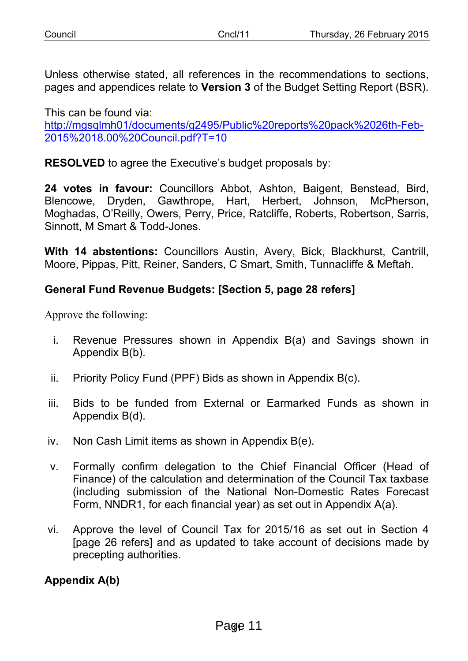| Council |  |
|---------|--|
|         |  |
|         |  |
|         |  |

Unless otherwise stated, all references in the recommendations to sections, pages and appendices relate to **Version 3** of the Budget Setting Report (BSR).

This can be found via: [http://mgsqlmh01/documents/g2495/Public%20reports%20pack%2026th-Feb-](http://mgsqlmh01/documents/g2495/Public%20reports%20pack%2026th-Feb-2015%2018.00%20Council.pdf?T=10)[2015%2018.00%20Council.pdf?T=10](http://mgsqlmh01/documents/g2495/Public%20reports%20pack%2026th-Feb-2015%2018.00%20Council.pdf?T=10)

**RESOLVED** to agree the Executive's budget proposals by:

**24 votes in favour:** Councillors Abbot, Ashton, Baigent, Benstead, Bird, Blencowe, Dryden, Gawthrope, Hart, Herbert, Johnson, McPherson, Moghadas, O'Reilly, Owers, Perry, Price, Ratcliffe, Roberts, Robertson, Sarris, Sinnott, M Smart & Todd-Jones.

**With 14 abstentions:** Councillors Austin, Avery, Bick, Blackhurst, Cantrill, Moore, Pippas, Pitt, Reiner, Sanders, C Smart, Smith, Tunnacliffe & Meftah.

# **General Fund Revenue Budgets: [Section 5, page 28 refers]**

Approve the following:

- i. Revenue Pressures shown in Appendix B(a) and Savings shown in Appendix B(b).
- ii. Priority Policy Fund (PPF) Bids as shown in Appendix B(c).
- iii. Bids to be funded from External or Earmarked Funds as shown in Appendix B(d).
- iv. Non Cash Limit items as shown in Appendix B(e).
- v. Formally confirm delegation to the Chief Financial Officer (Head of Finance) of the calculation and determination of the Council Tax taxbase (including submission of the National Non-Domestic Rates Forecast Form, NNDR1, for each financial year) as set out in Appendix A(a).
- vi. Approve the level of Council Tax for 2015/16 as set out in Section 4 [page 26 refers] and as updated to take account of decisions made by precepting authorities.

# **Appendix A(b)**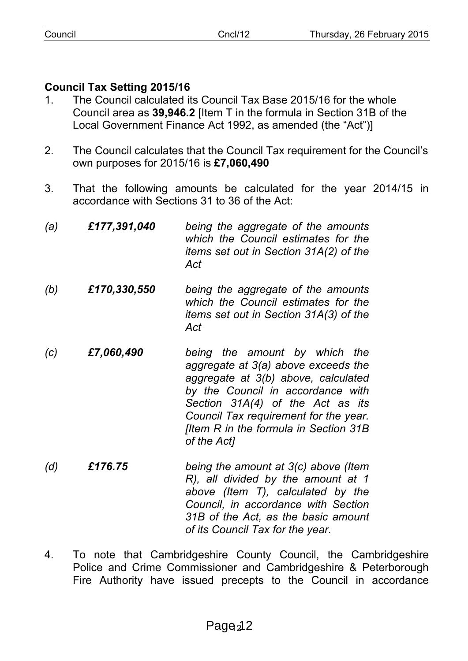# **Council Tax Setting 2015/16**

- 1. The Council calculated its Council Tax Base 2015/16 for the whole Council area as **39,946.2** [Item T in the formula in Section 31B of the Local Government Finance Act 1992, as amended (the "Act")]
- 2. The Council calculates that the Council Tax requirement for the Council's own purposes for 2015/16 is **£7,060,490**
- 3. That the following amounts be calculated for the year 2014/15 in accordance with Sections 31 to 36 of the Act:

| (a) | £177,391,040 | being the aggregate of the amounts<br>which the Council estimates for the<br>items set out in Section 31A(2) of the<br>Act                                                                                                                                                                   |
|-----|--------------|----------------------------------------------------------------------------------------------------------------------------------------------------------------------------------------------------------------------------------------------------------------------------------------------|
| (b) | £170,330,550 | being the aggregate of the amounts<br>which the Council estimates for the<br><i>items set out in Section 31A(3) of the</i><br>Act                                                                                                                                                            |
| (c) | £7,060,490   | being the amount by which the<br>aggregate at 3(a) above exceeds the<br>aggregate at 3(b) above, calculated<br>by the Council in accordance with<br>Section 31A(4) of the Act as its<br>Council Tax requirement for the year.<br><b>Iltem R in the formula in Section 31B</b><br>of the Act] |

- *(d) £176.75 being the amount at 3(c) above (Item R), all divided by the amount at 1 above (Item T), calculated by the Council, in accordance with Section 31B of the Act, as the basic amount of its Council Tax for the year.*
- 4. To note that Cambridgeshire County Council, the Cambridgeshire Police and Crime Commissioner and Cambridgeshire & Peterborough Fire Authority have issued precepts to the Council in accordance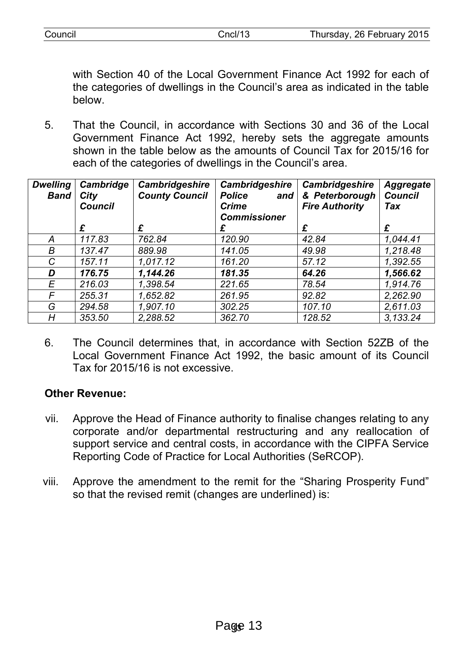| <u>'OLINOI</u> | $\cdot$ noll <sup>10</sup> | 26 February 2<br>2015<br><b>Thurodov</b><br>w |
|----------------|----------------------------|-----------------------------------------------|
|                |                            |                                               |

with Section 40 of the Local Government Finance Act 1992 for each of the categories of dwellings in the Council's area as indicated in the table below.

5. That the Council, in accordance with Sections 30 and 36 of the Local Government Finance Act 1992, hereby sets the aggregate amounts shown in the table below as the amounts of Council Tax for 2015/16 for each of the categories of dwellings in the Council's area.

| <b>Dwelling</b><br><b>Band</b> | Cambridge<br>City<br><b>Council</b> | <b>Cambridgeshire</b><br><b>County Council</b> | Cambridgeshire<br><b>Police</b><br>and<br><b>Crime</b><br><b>Commissioner</b> | Cambridgeshire<br>& Peterborough<br><b>Fire Authority</b> | <b>Aggregate</b><br><b>Council</b><br>Tax |
|--------------------------------|-------------------------------------|------------------------------------------------|-------------------------------------------------------------------------------|-----------------------------------------------------------|-------------------------------------------|
|                                | £                                   | £                                              | £                                                                             | £                                                         | £                                         |
| A                              | 117.83                              | 762.84                                         | 120.90                                                                        | 42.84                                                     | 1,044.41                                  |
| B                              | 137.47                              | 889.98                                         | 141.05                                                                        | 49.98                                                     | 1,218.48                                  |
| C                              | 157.11                              | 1.017.12                                       | 161.20                                                                        | 57.12                                                     | 1.392.55                                  |
| D                              | 176.75                              | 1,144.26                                       | 181.35                                                                        | 64.26                                                     | 1,566.62                                  |
| E                              | 216.03                              | 1.398.54                                       | 221.65                                                                        | 78.54                                                     | 1.914.76                                  |
| F                              | 255.31                              | 1.652.82                                       | 261.95                                                                        | 92.82                                                     | 2,262.90                                  |
| G                              | 294.58                              | 1,907.10                                       | 302.25                                                                        | 107.10                                                    | 2,611.03                                  |
| H                              | 353.50                              | 2,288.52                                       | 362.70                                                                        | 128.52                                                    | 3,133.24                                  |

6. The Council determines that, in accordance with Section 52ZB of the Local Government Finance Act 1992, the basic amount of its Council Tax for 2015/16 is not excessive.

#### **Other Revenue:**

- vii. Approve the Head of Finance authority to finalise changes relating to any corporate and/or departmental restructuring and any reallocation of support service and central costs, in accordance with the CIPFA Service Reporting Code of Practice for Local Authorities (SeRCOP).
- viii. Approve the amendment to the remit for the "Sharing Prosperity Fund" so that the revised remit (changes are underlined) is: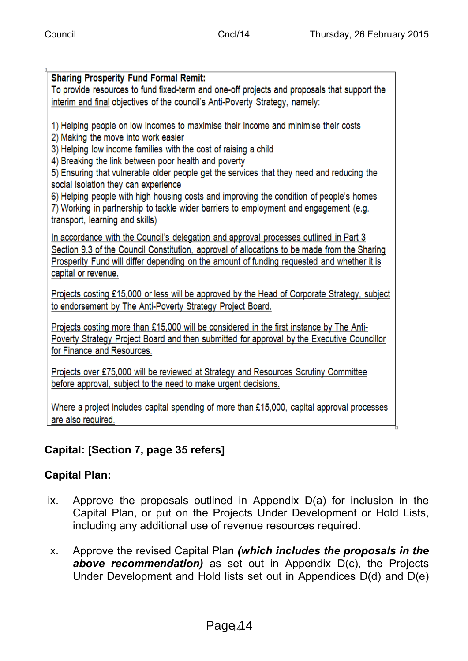# **Sharing Prosperity Fund Formal Remit:** To provide resources to fund fixed-term and one-off projects and proposals that support the interim and final objectives of the council's Anti-Poverty Strategy, namely: 1) Helping people on low incomes to maximise their income and minimise their costs 2) Making the move into work easier 3) Helping low income families with the cost of raising a child 4) Breaking the link between poor health and poverty 5) Ensuring that vulnerable older people get the services that they need and reducing the social isolation they can experience 6) Helping people with high housing costs and improving the condition of people's homes 7) Working in partnership to tackle wider barriers to employment and engagement (e.g. transport. learning and skills) In accordance with the Council's delegation and approval processes outlined in Part 3 Section 9.3 of the Council Constitution, approval of allocations to be made from the Sharing Prosperity Fund will differ depending on the amount of funding requested and whether it is capital or revenue. Projects costing £15,000 or less will be approved by the Head of Corporate Strategy, subject to endorsement by The Anti-Poverty Strategy Project Board. Projects costing more than £15,000 will be considered in the first instance by The Anti-Poverty Strategy Project Board and then submitted for approval by the Executive Councillor for Finance and Resources.

Projects over £75,000 will be reviewed at Strategy and Resources Scrutiny Committee before approval, subject to the need to make urgent decisions.

Where a project includes capital spending of more than £15,000, capital approval processes are also required.

# **Capital: [Section 7, page 35 refers]**

# **Capital Plan:**

- ix. Approve the proposals outlined in Appendix D(a) for inclusion in the Capital Plan, or put on the Projects Under Development or Hold Lists, including any additional use of revenue resources required.
- x. Approve the revised Capital Plan *(which includes the proposals in the above recommendation)* as set out in Appendix D(c), the Projects Under Development and Hold lists set out in Appendices D(d) and D(e)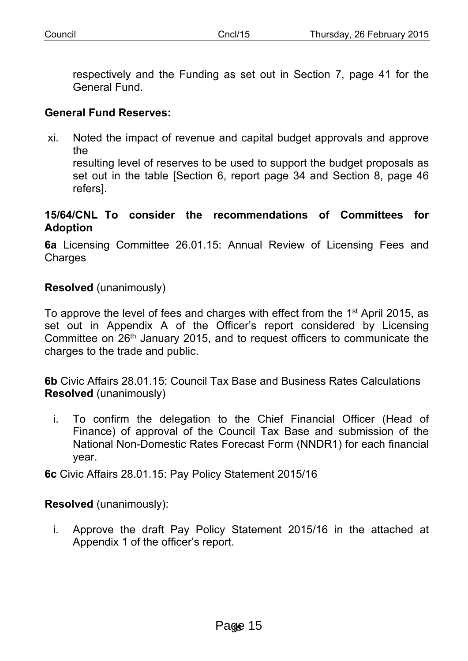respectively and the Funding as set out in Section 7, page 41 for the General Fund.

## **General Fund Reserves:**

xi. Noted the impact of revenue and capital budget approvals and approve the

resulting level of reserves to be used to support the budget proposals as set out in the table [Section 6, report page 34 and Section 8, page 46 refers].

#### **15/64/CNL To consider the recommendations of Committees for Adoption**

**6a** Licensing Committee 26.01.15: Annual Review of Licensing Fees and **Charges** 

**Resolved** (unanimously)

To approve the level of fees and charges with effect from the 1<sup>st</sup> April 2015, as set out in Appendix A of the Officer's report considered by Licensing Committee on 26<sup>th</sup> January 2015, and to request officers to communicate the charges to the trade and public.

**6b** Civic Affairs 28.01.15: Council Tax Base and Business Rates Calculations **Resolved** (unanimously)

i. To confirm the delegation to the Chief Financial Officer (Head of Finance) of approval of the Council Tax Base and submission of the National Non-Domestic Rates Forecast Form (NNDR1) for each financial year.

**6c** Civic Affairs 28.01.15: Pay Policy Statement 2015/16

**Resolved** (unanimously):

i. Approve the draft Pay Policy Statement 2015/16 in the attached at Appendix 1 of the officer's report.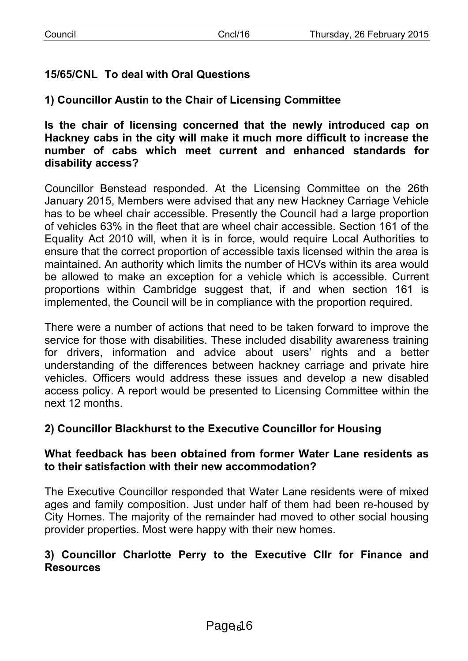# **15/65/CNL To deal with Oral Questions**

**1) Councillor Austin to the Chair of Licensing Committee**

**Is the chair of licensing concerned that the newly introduced cap on Hackney cabs in the city will make it much more difficult to increase the number of cabs which meet current and enhanced standards for disability access?**

Councillor Benstead responded. At the Licensing Committee on the 26th January 2015, Members were advised that any new Hackney Carriage Vehicle has to be wheel chair accessible. Presently the Council had a large proportion of vehicles 63% in the fleet that are wheel chair accessible. Section 161 of the Equality Act 2010 will, when it is in force, would require Local Authorities to ensure that the correct proportion of accessible taxis licensed within the area is maintained. An authority which limits the number of HCVs within its area would be allowed to make an exception for a vehicle which is accessible. Current proportions within Cambridge suggest that, if and when section 161 is implemented, the Council will be in compliance with the proportion required.

There were a number of actions that need to be taken forward to improve the service for those with disabilities. These included disability awareness training for drivers, information and advice about users' rights and a better understanding of the differences between hackney carriage and private hire vehicles. Officers would address these issues and develop a new disabled access policy. A report would be presented to Licensing Committee within the next 12 months.

# **2) Councillor Blackhurst to the Executive Councillor for Housing**

#### **What feedback has been obtained from former Water Lane residents as to their satisfaction with their new accommodation?**

The Executive Councillor responded that Water Lane residents were of mixed ages and family composition. Just under half of them had been re-housed by City Homes. The majority of the remainder had moved to other social housing provider properties. Most were happy with their new homes.

# **3) Councillor Charlotte Perry to the Executive Cllr for Finance and Resources**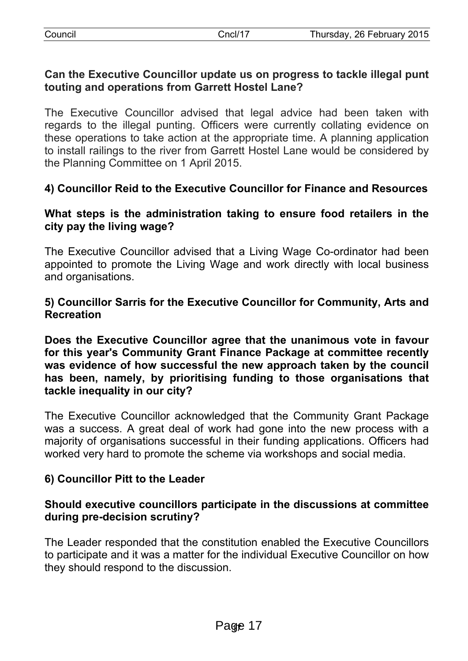## **Can the Executive Councillor update us on progress to tackle illegal punt touting and operations from Garrett Hostel Lane?**

The Executive Councillor advised that legal advice had been taken with regards to the illegal punting. Officers were currently collating evidence on these operations to take action at the appropriate time. A planning application to install railings to the river from Garrett Hostel Lane would be considered by the Planning Committee on 1 April 2015.

# **4) Councillor Reid to the Executive Councillor for Finance and Resources**

## **What steps is the administration taking to ensure food retailers in the city pay the living wage?**

The Executive Councillor advised that a Living Wage Co-ordinator had been appointed to promote the Living Wage and work directly with local business and organisations.

## **5) Councillor Sarris for the Executive Councillor for Community, Arts and Recreation**

**Does the Executive Councillor agree that the unanimous vote in favour for this year's Community Grant Finance Package at committee recently was evidence of how successful the new approach taken by the council has been, namely, by prioritising funding to those organisations that tackle inequality in our city?**

The Executive Councillor acknowledged that the Community Grant Package was a success. A great deal of work had gone into the new process with a majority of organisations successful in their funding applications. Officers had worked very hard to promote the scheme via workshops and social media.

# **6) Councillor Pitt to the Leader**

## **Should executive councillors participate in the discussions at committee during pre-decision scrutiny?**

The Leader responded that the constitution enabled the Executive Councillors to participate and it was a matter for the individual Executive Councillor on how they should respond to the discussion.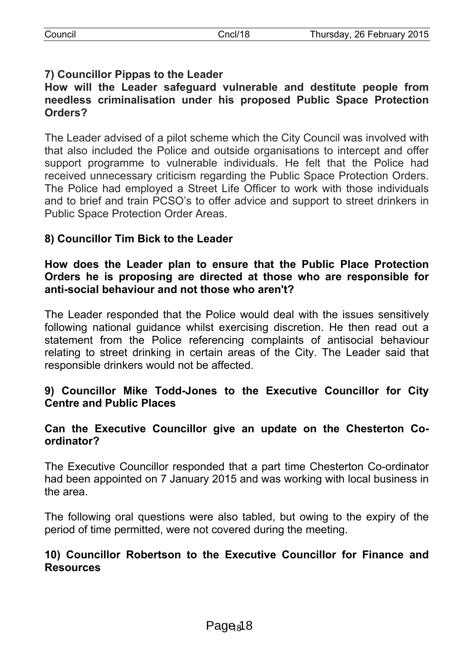# **7) Councillor Pippas to the Leader**

#### **How will the Leader safeguard vulnerable and destitute people from needless criminalisation under his proposed Public Space Protection Orders?**

The Leader advised of a pilot scheme which the City Council was involved with that also included the Police and outside organisations to intercept and offer support programme to vulnerable individuals. He felt that the Police had received unnecessary criticism regarding the Public Space Protection Orders. The Police had employed a Street Life Officer to work with those individuals and to brief and train PCSO's to offer advice and support to street drinkers in Public Space Protection Order Areas.

# **8) Councillor Tim Bick to the Leader**

#### **How does the Leader plan to ensure that the Public Place Protection Orders he is proposing are directed at those who are responsible for anti-social behaviour and not those who aren't?**

The Leader responded that the Police would deal with the issues sensitively following national guidance whilst exercising discretion. He then read out a statement from the Police referencing complaints of antisocial behaviour relating to street drinking in certain areas of the City. The Leader said that responsible drinkers would not be affected.

## **9) Councillor Mike Todd-Jones to the Executive Councillor for City Centre and Public Places**

#### **Can the Executive Councillor give an update on the Chesterton Coordinator?**

The Executive Councillor responded that a part time Chesterton Co-ordinator had been appointed on 7 January 2015 and was working with local business in the area.

The following oral questions were also tabled, but owing to the expiry of the period of time permitted, were not covered during the meeting.

#### **10) Councillor Robertson to the Executive Councillor for Finance and Resources**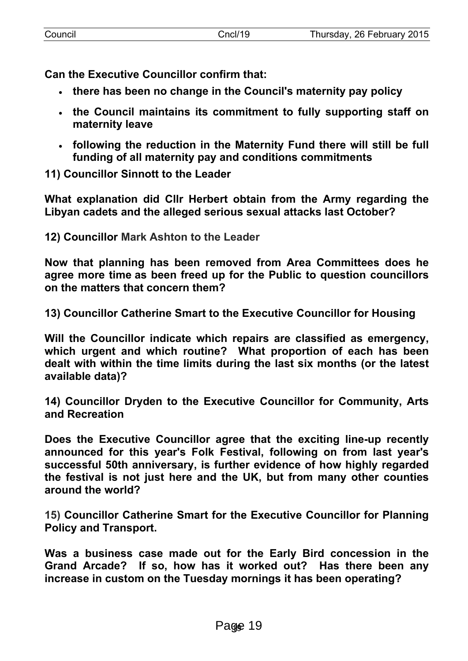**Can the Executive Councillor confirm that:**

- **there has been no change in the Council's maternity pay policy**
- **the Council maintains its commitment to fully supporting staff on maternity leave**
- **following the reduction in the Maternity Fund there will still be full funding of all maternity pay and conditions commitments**

**11) Councillor Sinnott to the Leader**

**What explanation did Cllr Herbert obtain from the Army regarding the Libyan cadets and the alleged serious sexual attacks last October?**

**12) Councillor Mark Ashton to the Leader**

**Now that planning has been removed from Area Committees does he agree more time as been freed up for the Public to question councillors on the matters that concern them?**

**13) Councillor Catherine Smart to the Executive Councillor for Housing**

**Will the Councillor indicate which repairs are classified as emergency, which urgent and which routine? What proportion of each has been dealt with within the time limits during the last six months (or the latest available data)?**

**14) Councillor Dryden to the Executive Councillor for Community, Arts and Recreation**

**Does the Executive Councillor agree that the exciting line-up recently announced for this year's Folk Festival, following on from last year's successful 50th anniversary, is further evidence of how highly regarded the festival is not just here and the UK, but from many other counties around the world?**

**15) Councillor Catherine Smart for the Executive Councillor for Planning Policy and Transport.**

**Was a business case made out for the Early Bird concession in the Grand Arcade? If so, how has it worked out? Has there been any increase in custom on the Tuesday mornings it has been operating?**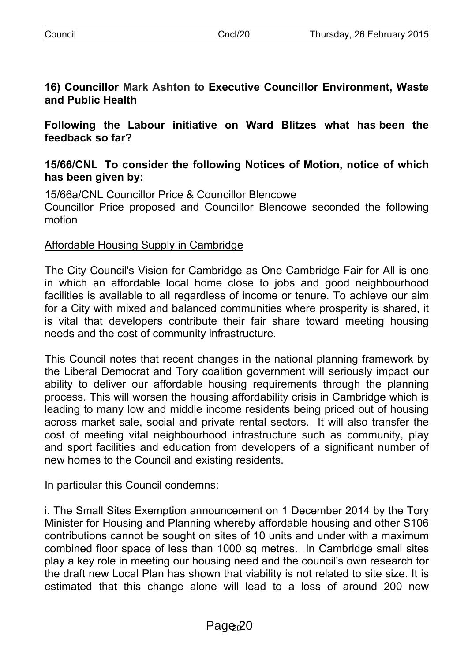motion

**16) Councillor Mark Ashton to Executive Councillor Environment, Waste and Public Health**

**Following the Labour initiative on Ward Blitzes what has been the feedback so far?**

# **15/66/CNL To consider the following Notices of Motion, notice of which has been given by:**

15/66a/CNL Councillor Price & Councillor Blencowe Councillor Price proposed and Councillor Blencowe seconded the following

# Affordable Housing Supply in Cambridge

The City Council's Vision for Cambridge as One Cambridge Fair for All is one in which an affordable local home close to jobs and good neighbourhood facilities is available to all regardless of income or tenure. To achieve our aim for a City with mixed and balanced communities where prosperity is shared, it is vital that developers contribute their fair share toward meeting housing needs and the cost of community infrastructure.

This Council notes that recent changes in the national planning framework by the Liberal Democrat and Tory coalition government will seriously impact our ability to deliver our affordable housing requirements through the planning process. This will worsen the housing affordability crisis in Cambridge which is leading to many low and middle income residents being priced out of housing across market sale, social and private rental sectors. It will also transfer the cost of meeting vital neighbourhood infrastructure such as community, play and sport facilities and education from developers of a significant number of new homes to the Council and existing residents.

In particular this Council condemns:

i. The Small Sites Exemption announcement on 1 December 2014 by the Tory Minister for Housing and Planning whereby affordable housing and other S106 contributions cannot be sought on sites of 10 units and under with a maximum combined floor space of less than 1000 sq metres. In Cambridge small sites play a key role in meeting our housing need and the council's own research for the draft new Local Plan has shown that viability is not related to site size. It is estimated that this change alone will lead to a loss of around 200 new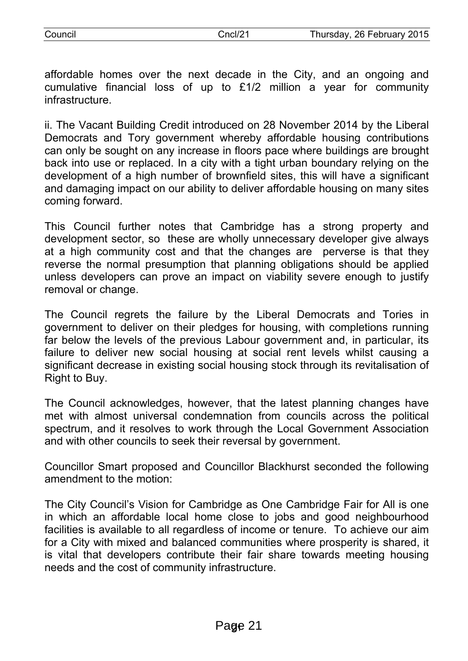affordable homes over the next decade in the City, and an ongoing and cumulative financial loss of up to £1/2 million a year for community infrastructure.

ii. The Vacant Building Credit introduced on 28 November 2014 by the Liberal Democrats and Tory government whereby affordable housing contributions can only be sought on any increase in floors pace where buildings are brought back into use or replaced. In a city with a tight urban boundary relying on the development of a high number of brownfield sites, this will have a significant and damaging impact on our ability to deliver affordable housing on many sites coming forward.

This Council further notes that Cambridge has a strong property and development sector, so these are wholly unnecessary developer give always at a high community cost and that the changes are perverse is that they reverse the normal presumption that planning obligations should be applied unless developers can prove an impact on viability severe enough to justify removal or change.

The Council regrets the failure by the Liberal Democrats and Tories in government to deliver on their pledges for housing, with completions running far below the levels of the previous Labour government and, in particular, its failure to deliver new social housing at social rent levels whilst causing a significant decrease in existing social housing stock through its revitalisation of Right to Buy.

The Council acknowledges, however, that the latest planning changes have met with almost universal condemnation from councils across the political spectrum, and it resolves to work through the Local Government Association and with other councils to seek their reversal by government.

Councillor Smart proposed and Councillor Blackhurst seconded the following amendment to the motion:

The City Council's Vision for Cambridge as One Cambridge Fair for All is one in which an affordable local home close to jobs and good neighbourhood facilities is available to all regardless of income or tenure. To achieve our aim for a City with mixed and balanced communities where prosperity is shared, it is vital that developers contribute their fair share towards meeting housing needs and the cost of community infrastructure.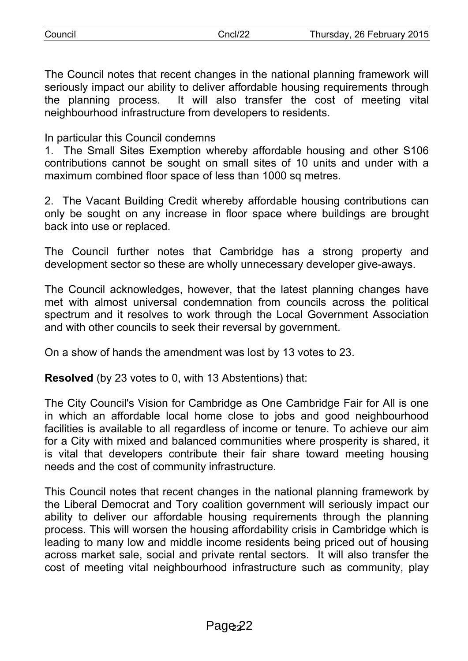| Council |  |
|---------|--|
|         |  |

The Council notes that recent changes in the national planning framework will seriously impact our ability to deliver affordable housing requirements through the planning process. It will also transfer the cost of meeting vital neighbourhood infrastructure from developers to residents.

In particular this Council condemns

1. The Small Sites Exemption whereby affordable housing and other S106 contributions cannot be sought on small sites of 10 units and under with a maximum combined floor space of less than 1000 sq metres.

2. The Vacant Building Credit whereby affordable housing contributions can only be sought on any increase in floor space where buildings are brought back into use or replaced.

The Council further notes that Cambridge has a strong property and development sector so these are wholly unnecessary developer give-aways.

The Council acknowledges, however, that the latest planning changes have met with almost universal condemnation from councils across the political spectrum and it resolves to work through the Local Government Association and with other councils to seek their reversal by government.

On a show of hands the amendment was lost by 13 votes to 23.

**Resolved** (by 23 votes to 0, with 13 Abstentions) that:

The City Council's Vision for Cambridge as One Cambridge Fair for All is one in which an affordable local home close to jobs and good neighbourhood facilities is available to all regardless of income or tenure. To achieve our aim for a City with mixed and balanced communities where prosperity is shared, it is vital that developers contribute their fair share toward meeting housing needs and the cost of community infrastructure.

This Council notes that recent changes in the national planning framework by the Liberal Democrat and Tory coalition government will seriously impact our ability to deliver our affordable housing requirements through the planning process. This will worsen the housing affordability crisis in Cambridge which is leading to many low and middle income residents being priced out of housing across market sale, social and private rental sectors. It will also transfer the cost of meeting vital neighbourhood infrastructure such as community, play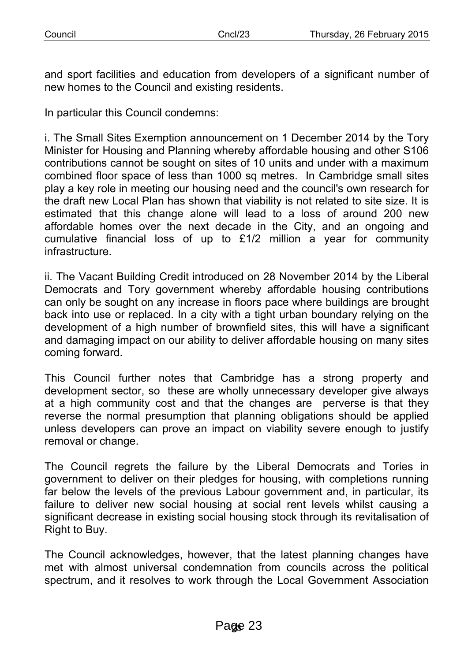and sport facilities and education from developers of a significant number of new homes to the Council and existing residents.

In particular this Council condemns:

i. The Small Sites Exemption announcement on 1 December 2014 by the Tory Minister for Housing and Planning whereby affordable housing and other S106 contributions cannot be sought on sites of 10 units and under with a maximum combined floor space of less than 1000 sq metres. In Cambridge small sites play a key role in meeting our housing need and the council's own research for the draft new Local Plan has shown that viability is not related to site size. It is estimated that this change alone will lead to a loss of around 200 new affordable homes over the next decade in the City, and an ongoing and cumulative financial loss of up to £1/2 million a year for community infrastructure.

ii. The Vacant Building Credit introduced on 28 November 2014 by the Liberal Democrats and Tory government whereby affordable housing contributions can only be sought on any increase in floors pace where buildings are brought back into use or replaced. In a city with a tight urban boundary relying on the development of a high number of brownfield sites, this will have a significant and damaging impact on our ability to deliver affordable housing on many sites coming forward.

This Council further notes that Cambridge has a strong property and development sector, so these are wholly unnecessary developer give always at a high community cost and that the changes are perverse is that they reverse the normal presumption that planning obligations should be applied unless developers can prove an impact on viability severe enough to justify removal or change.

The Council regrets the failure by the Liberal Democrats and Tories in government to deliver on their pledges for housing, with completions running far below the levels of the previous Labour government and, in particular, its failure to deliver new social housing at social rent levels whilst causing a significant decrease in existing social housing stock through its revitalisation of Right to Buy.

The Council acknowledges, however, that the latest planning changes have met with almost universal condemnation from councils across the political spectrum, and it resolves to work through the Local Government Association